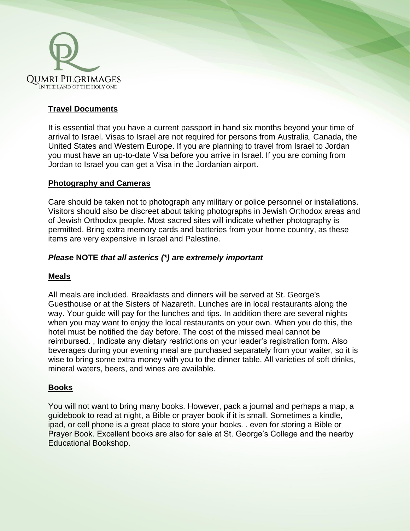

# **Travel Documents**

It is essential that you have a current passport in hand six months beyond your time of arrival to Israel. Visas to Israel are not required for persons from Australia, Canada, the United States and Western Europe. If you are planning to travel from Israel to Jordan you must have an up-to-date Visa before you arrive in Israel. If you are coming from Jordan to Israel you can get a Visa in the Jordanian airport.

## **Photography and Cameras**

Care should be taken not to photograph any military or police personnel or installations. Visitors should also be discreet about taking photographs in Jewish Orthodox areas and of Jewish Orthodox people. Most sacred sites will indicate whether photography is permitted. Bring extra memory cards and batteries from your home country, as these items are very expensive in Israel and Palestine.

## *Please* **NOTE** *that all asterics (\*) are extremely important*

## **Meals**

All meals are included. Breakfasts and dinners will be served at St. George's Guesthouse or at the Sisters of Nazareth. Lunches are in local restaurants along the way. Your guide will pay for the lunches and tips. In addition there are several nights when you may want to enjoy the local restaurants on your own. When you do this, the hotel must be notified the day before. The cost of the missed meal cannot be reimbursed. , Indicate any dietary restrictions on your leader's registration form. Also beverages during your evening meal are purchased separately from your waiter, so it is wise to bring some extra money with you to the dinner table. All varieties of soft drinks, mineral waters, beers, and wines are available.

## **Books**

You will not want to bring many books. However, pack a journal and perhaps a map, a guidebook to read at night, a Bible or prayer book if it is small. Sometimes a kindle, ipad, or cell phone is a great place to store your books. . even for storing a Bible or Prayer Book. Excellent books are also for sale at St. George's College and the nearby Educational Bookshop.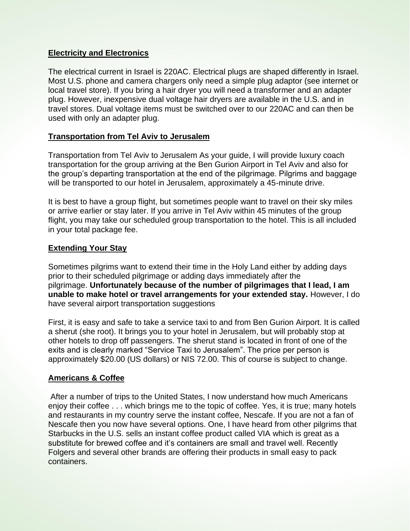## **Electricity and Electronics**

The electrical current in Israel is 220AC. Electrical plugs are shaped differently in Israel. Most U.S. phone and camera chargers only need a simple plug adaptor (see internet or local travel store). If you bring a hair dryer you will need a transformer and an adapter plug. However, inexpensive dual voltage hair dryers are available in the U.S. and in travel stores. Dual voltage items must be switched over to our 220AC and can then be used with only an adapter plug.

## **Transportation from Tel Aviv to Jerusalem**

Transportation from Tel Aviv to Jerusalem As your guide, I will provide luxury coach transportation for the group arriving at the Ben Gurion Airport in Tel Aviv and also for the group's departing transportation at the end of the pilgrimage. Pilgrims and baggage will be transported to our hotel in Jerusalem, approximately a 45-minute drive.

It is best to have a group flight, but sometimes people want to travel on their sky miles or arrive earlier or stay later. If you arrive in Tel Aviv within 45 minutes of the group flight, you may take our scheduled group transportation to the hotel. This is all included in your total package fee.

## **Extending Your Stay**

Sometimes pilgrims want to extend their time in the Holy Land either by adding days prior to their scheduled pilgrimage or adding days immediately after the pilgrimage. **Unfortunately because of the number of pilgrimages that I lead, I am unable to make hotel or travel arrangements for your extended stay.** However, I do have several airport transportation suggestions

First, it is easy and safe to take a service taxi to and from Ben Gurion Airport. It is called a sherut (she root). It brings you to your hotel in Jerusalem, but will probably stop at other hotels to drop off passengers. The sherut stand is located in front of one of the exits and is clearly marked "Service Taxi to Jerusalem". The price per person is approximately \$20.00 (US dollars) or NIS 72.00. This of course is subject to change.

## **Americans & Coffee**

After a number of trips to the United States, I now understand how much Americans enjoy their coffee . . . which brings me to the topic of coffee. Yes, it is true; many hotels and restaurants in my country serve the instant coffee, Nescafe. If you are not a fan of Nescafe then you now have several options. One, I have heard from other pilgrims that Starbucks in the U.S. sells an instant coffee product called VIA which is great as a substitute for brewed coffee and it's containers are small and travel well. Recently Folgers and several other brands are offering their products in small easy to pack containers.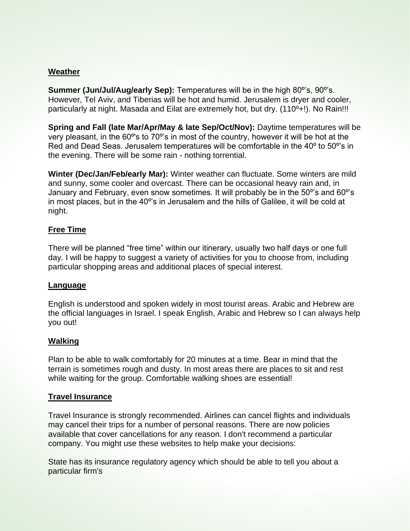## **Weather**

**Summer (Jun/Jul/Aug/early Sep):** Temperatures will be in the high 80º's, 90º's. However, Tel Aviv, and Tiberias will be hot and humid. Jerusalem is dryer and cooler, particularly at night. Masada and Eilat are extremely hot, but dry. (110<sup>o</sup>+!). No Rain!!!

**Spring and Fall (late Mar/Apr/May & late Sep/Oct/Nov):** Daytime temperatures will be very pleasant, in the 60º's to 70º's in most of the country, however it will be hot at the Red and Dead Seas. Jerusalem temperatures will be comfortable in the 40º to 50º's in the evening. There will be some rain - nothing torrential.

**Winter (Dec/Jan/Feb/early Mar):** Winter weather can fluctuate. Some winters are mild and sunny, some cooler and overcast. There can be occasional heavy rain and, in January and February, even snow sometimes. It will probably be in the 50º's and 60º's in most places, but in the 40º's in Jerusalem and the hills of Galilee, it will be cold at night.

## **Free Time**

There will be planned "free time" within our itinerary, usually two half days or one full day. I will be happy to suggest a variety of activities for you to choose from, including particular shopping areas and additional places of special interest.

## **Language**

English is understood and spoken widely in most tourist areas. Arabic and Hebrew are the official languages in Israel. I speak English, Arabic and Hebrew so I can always help you out!

## **Walking**

Plan to be able to walk comfortably for 20 minutes at a time. Bear in mind that the terrain is sometimes rough and dusty. In most areas there are places to sit and rest while waiting for the group. Comfortable walking shoes are essential!

## **Travel Insurance**

Travel Insurance is strongly recommended. Airlines can cancel flights and individuals may cancel their trips for a number of personal reasons. There are now policies available that cover cancellations for any reason. I don't recommend a particular company. You might use these websites to help make your decisions:

State has its insurance regulatory agency which should be able to tell you about a particular firm's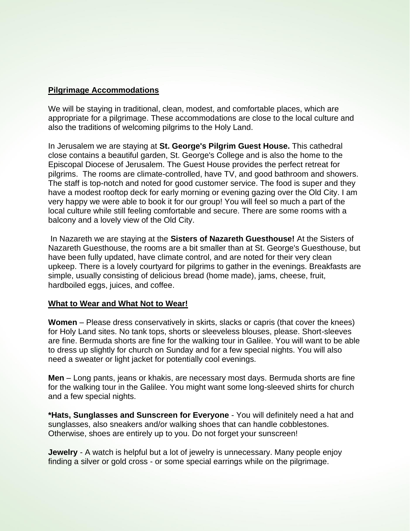#### **Pilgrimage Accommodations**

We will be staying in traditional, clean, modest, and comfortable places, which are appropriate for a pilgrimage. These accommodations are close to the local culture and also the traditions of welcoming pilgrims to the Holy Land.

In Jerusalem we are staying at **St. George's Pilgrim Guest House.** This cathedral close contains a beautiful garden, St. George's College and is also the home to the Episcopal Diocese of Jerusalem. The Guest House provides the perfect retreat for pilgrims. The rooms are climate-controlled, have TV, and good bathroom and showers. The staff is top-notch and noted for good customer service. The food is super and they have a modest rooftop deck for early morning or evening gazing over the Old City. I am very happy we were able to book it for our group! You will feel so much a part of the local culture while still feeling comfortable and secure. There are some rooms with a balcony and a lovely view of the Old City.

In Nazareth we are staying at the **Sisters of Nazareth Guesthouse!** At the Sisters of Nazareth Guesthouse, the rooms are a bit smaller than at St. George's Guesthouse, but have been fully updated, have climate control, and are noted for their very clean upkeep. There is a lovely courtyard for pilgrims to gather in the evenings. Breakfasts are simple, usually consisting of delicious bread (home made), jams, cheese, fruit, hardboiled eggs, juices, and coffee.

#### **What to Wear and What Not to Wear!**

**Women** – Please dress conservatively in skirts, slacks or capris (that cover the knees) for Holy Land sites. No tank tops, shorts or sleeveless blouses, please. Short-sleeves are fine. Bermuda shorts are fine for the walking tour in Galilee. You will want to be able to dress up slightly for church on Sunday and for a few special nights. You will also need a sweater or light jacket for potentially cool evenings.

**Men** – Long pants, jeans or khakis, are necessary most days. Bermuda shorts are fine for the walking tour in the Galilee. You might want some long-sleeved shirts for church and a few special nights.

**\*Hats, Sunglasses and Sunscreen for Everyone** - You will definitely need a hat and sunglasses, also sneakers and/or walking shoes that can handle cobblestones. Otherwise, shoes are entirely up to you. Do not forget your sunscreen!

**Jewelry** - A watch is helpful but a lot of jewelry is unnecessary. Many people enjoy finding a silver or gold cross - or some special earrings while on the pilgrimage.